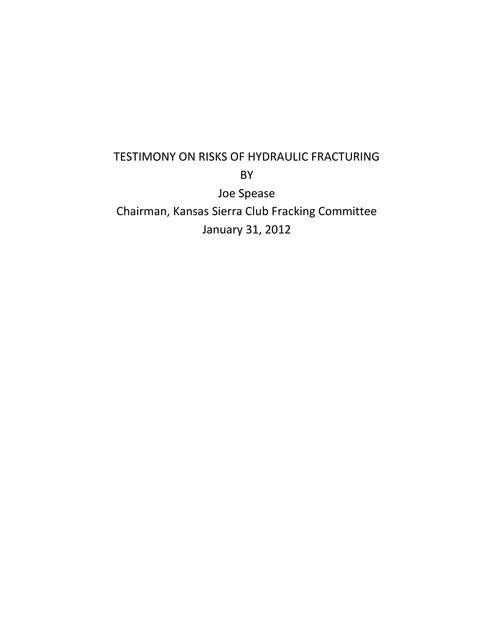## TESTIMONY ON RISKS OF HYDRAULIC FRACTURING BY Joe Spease

Chairman, Kansas Sierra Club Fracking Committee January 31, 2012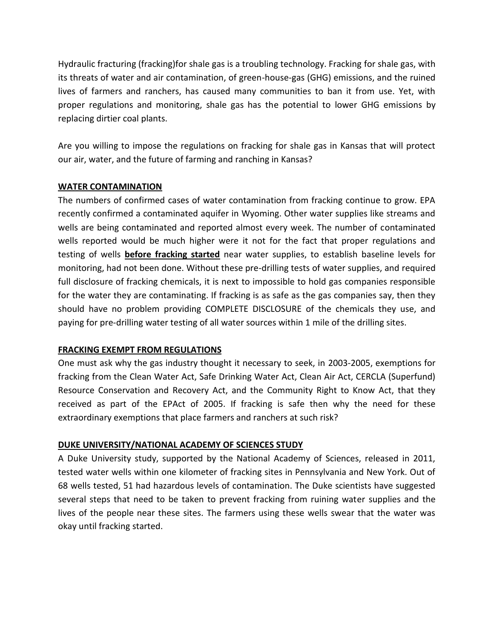Hydraulic fracturing (fracking)for shale gas is a troubling technology. Fracking for shale gas, with its threats of water and air contamination, of green-house-gas (GHG) emissions, and the ruined lives of farmers and ranchers, has caused many communities to ban it from use. Yet, with proper regulations and monitoring, shale gas has the potential to lower GHG emissions by replacing dirtier coal plants.

Are you willing to impose the regulations on fracking for shale gas in Kansas that will protect our air, water, and the future of farming and ranching in Kansas?

### **WATER CONTAMINATION**

The numbers of confirmed cases of water contamination from fracking continue to grow. EPA recently confirmed a contaminated aquifer in Wyoming. Other water supplies like streams and wells are being contaminated and reported almost every week. The number of contaminated wells reported would be much higher were it not for the fact that proper regulations and testing of wells **before fracking started** near water supplies, to establish baseline levels for monitoring, had not been done. Without these pre-drilling tests of water supplies, and required full disclosure of fracking chemicals, it is next to impossible to hold gas companies responsible for the water they are contaminating. If fracking is as safe as the gas companies say, then they should have no problem providing COMPLETE DISCLOSURE of the chemicals they use, and paying for pre-drilling water testing of all water sources within 1 mile of the drilling sites.

### **FRACKING EXEMPT FROM REGULATIONS**

One must ask why the gas industry thought it necessary to seek, in 2003-2005, exemptions for fracking from the Clean Water Act, Safe Drinking Water Act, Clean Air Act, CERCLA (Superfund) Resource Conservation and Recovery Act, and the Community Right to Know Act, that they received as part of the EPAct of 2005. If fracking is safe then why the need for these extraordinary exemptions that place farmers and ranchers at such risk?

### **DUKE UNIVERSITY/NATIONAL ACADEMY OF SCIENCES STUDY**

A Duke University study, supported by the National Academy of Sciences, released in 2011, tested water wells within one kilometer of fracking sites in Pennsylvania and New York. Out of 68 wells tested, 51 had hazardous levels of contamination. The Duke scientists have suggested several steps that need to be taken to prevent fracking from ruining water supplies and the lives of the people near these sites. The farmers using these wells swear that the water was okay until fracking started.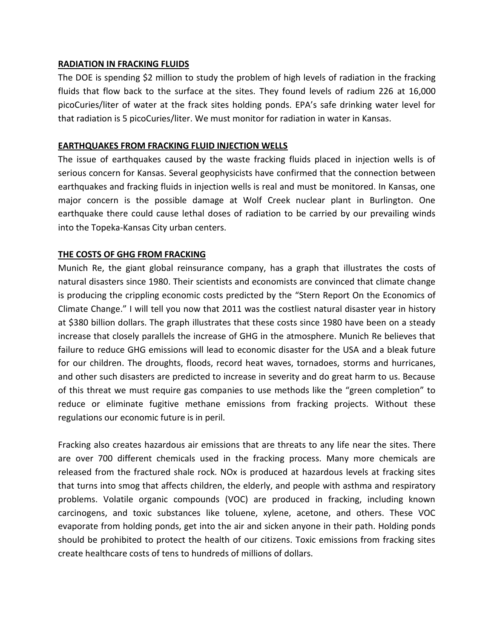### **RADIATION IN FRACKING FLUIDS**

The DOE is spending \$2 million to study the problem of high levels of radiation in the fracking fluids that flow back to the surface at the sites. They found levels of radium 226 at 16,000 picoCuries/liter of water at the frack sites holding ponds. EPA's safe drinking water level for that radiation is 5 picoCuries/liter. We must monitor for radiation in water in Kansas.

### **EARTHQUAKES FROM FRACKING FLUID INJECTION WELLS**

The issue of earthquakes caused by the waste fracking fluids placed in injection wells is of serious concern for Kansas. Several geophysicists have confirmed that the connection between earthquakes and fracking fluids in injection wells is real and must be monitored. In Kansas, one major concern is the possible damage at Wolf Creek nuclear plant in Burlington. One earthquake there could cause lethal doses of radiation to be carried by our prevailing winds into the Topeka-Kansas City urban centers.

### **THE COSTS OF GHG FROM FRACKING**

Munich Re, the giant global reinsurance company, has a graph that illustrates the costs of natural disasters since 1980. Their scientists and economists are convinced that climate change is producing the crippling economic costs predicted by the "Stern Report On the Economics of Climate Change." I will tell you now that 2011 was the costliest natural disaster year in history at \$380 billion dollars. The graph illustrates that these costs since 1980 have been on a steady increase that closely parallels the increase of GHG in the atmosphere. Munich Re believes that failure to reduce GHG emissions will lead to economic disaster for the USA and a bleak future for our children. The droughts, floods, record heat waves, tornadoes, storms and hurricanes, and other such disasters are predicted to increase in severity and do great harm to us. Because of this threat we must require gas companies to use methods like the "green completion" to reduce or eliminate fugitive methane emissions from fracking projects. Without these regulations our economic future is in peril.

Fracking also creates hazardous air emissions that are threats to any life near the sites. There are over 700 different chemicals used in the fracking process. Many more chemicals are released from the fractured shale rock. NOx is produced at hazardous levels at fracking sites that turns into smog that affects children, the elderly, and people with asthma and respiratory problems. Volatile organic compounds (VOC) are produced in fracking, including known carcinogens, and toxic substances like toluene, xylene, acetone, and others. These VOC evaporate from holding ponds, get into the air and sicken anyone in their path. Holding ponds should be prohibited to protect the health of our citizens. Toxic emissions from fracking sites create healthcare costs of tens to hundreds of millions of dollars.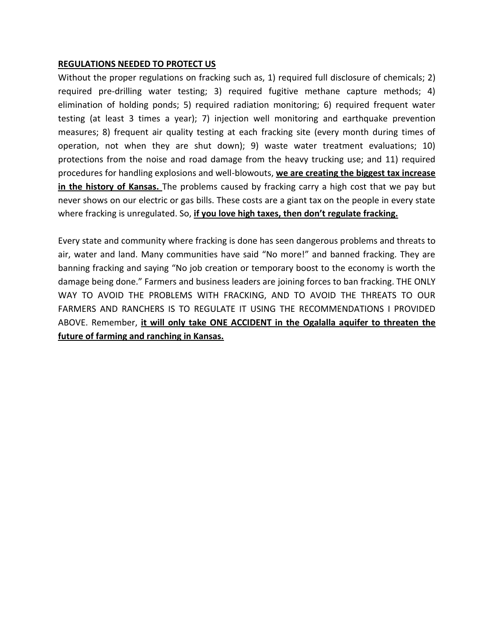### **REGULATIONS NEEDED TO PROTECT US**

Without the proper regulations on fracking such as, 1) required full disclosure of chemicals; 2) required pre-drilling water testing; 3) required fugitive methane capture methods; 4) elimination of holding ponds; 5) required radiation monitoring; 6) required frequent water testing (at least 3 times a year); 7) injection well monitoring and earthquake prevention measures; 8) frequent air quality testing at each fracking site (every month during times of operation, not when they are shut down); 9) waste water treatment evaluations; 10) protections from the noise and road damage from the heavy trucking use; and 11) required procedures for handling explosions and well-blowouts, **we are creating the biggest tax increase in the history of Kansas.** The problems caused by fracking carry a high cost that we pay but never shows on our electric or gas bills. These costs are a giant tax on the people in every state where fracking is unregulated. So, **if you love high taxes, then don't regulate fracking.**

Every state and community where fracking is done has seen dangerous problems and threats to air, water and land. Many communities have said "No more!" and banned fracking. They are banning fracking and saying "No job creation or temporary boost to the economy is worth the damage being done." Farmers and business leaders are joining forces to ban fracking. THE ONLY WAY TO AVOID THE PROBLEMS WITH FRACKING, AND TO AVOID THE THREATS TO OUR FARMERS AND RANCHERS IS TO REGULATE IT USING THE RECOMMENDATIONS I PROVIDED ABOVE. Remember, **it will only take ONE ACCIDENT in the Ogalalla aquifer to threaten the future of farming and ranching in Kansas.**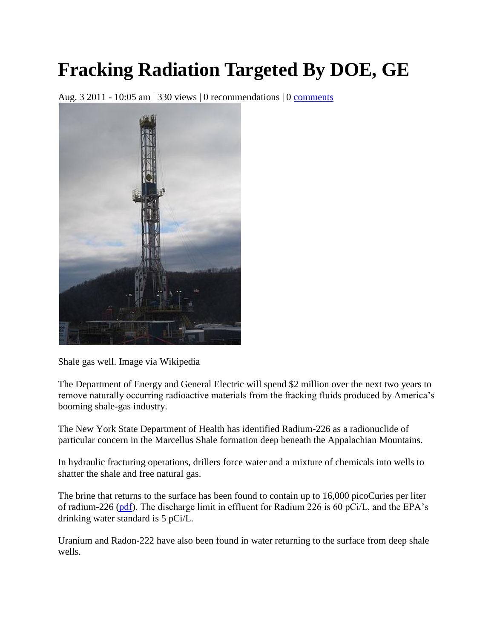# **Fracking Radiation Targeted By DOE, GE**

Aug. 3 2011 - 10:05 am | 330 views | 0 recommendations | 0 [comments](http://blogs.forbes.com/jeffmcmahon/2011/08/03/fracking-radiation-targeted-by-doe-ge/#post_comments)



Shale gas well. Image via Wikipedia

The Department of Energy and General Electric will spend \$2 million over the next two years to remove naturally occurring radioactive materials from the fracking fluids produced by America's booming shale-gas industry.

The New York State Department of Health has identified Radium-226 as a radionuclide of particular concern in the Marcellus Shale formation deep beneath the Appalachian Mountains.

In hydraulic fracturing operations, drillers force water and a mixture of chemicals into wells to shatter the shale and free natural gas.

The brine that returns to the surface has been found to contain up to 16,000 picoCuries per liter of radium-226 [\(pdf\)](http://treichlerlawoffice.com/radiation/nysdoh_marcellus_concerns_090721.pdf). The discharge limit in effluent for Radium 226 is 60 pCi/L, and the EPA's drinking water standard is 5 pCi/L.

Uranium and Radon-222 have also been found in water returning to the surface from deep shale wells.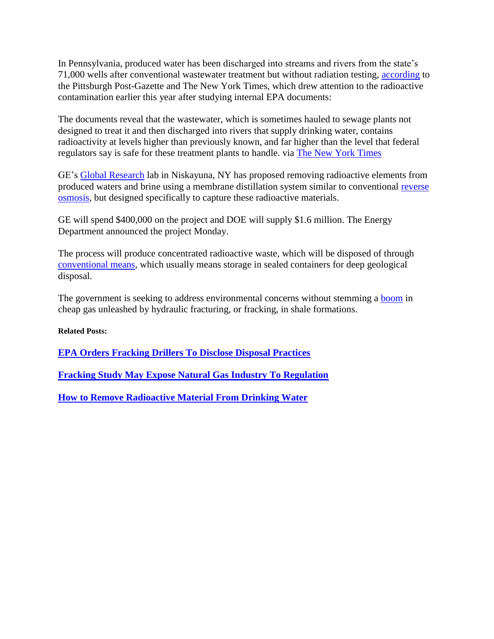In Pennsylvania, produced water has been discharged into streams and rivers from the state's 71,000 wells after conventional wastewater treatment but without radiation testing, [according](http://www.post-gazette.com/pg/11060/1128778-455.stm#ixzz1TtwpT7ET) to the Pittsburgh Post-Gazette and The New York Times, which drew attention to the radioactive contamination earlier this year after studying internal EPA documents:

The documents reveal that the wastewater, which is sometimes hauled to sewage plants not designed to treat it and then discharged into rivers that supply drinking water, contains radioactivity at levels higher than previously known, and far higher than the level that federal regulators say is safe for these treatment plants to handle. via [The New York Times](http://www.nytimes.com/2011/02/27/us/27gas.html?pagewanted=all)

GE's [Global Research](http://ge.geglobalresearch.com/) lab in Niskayuna, NY has proposed removing radioactive elements from produced waters and brine using a membrane distillation system similar to conventional [reverse](http://science.howstuffworks.com/reverse-osmosis.htm)  [osmosis,](http://science.howstuffworks.com/reverse-osmosis.htm) but designed specifically to capture these radioactive materials.

GE will spend \$400,000 on the project and DOE will supply \$1.6 million. The Energy Department announced the project Monday.

The process will produce concentrated radioactive waste, which will be disposed of through [conventional means,](http://www.world-nuclear.org/info/inf04.html) which usually means storage in sealed containers for deep geological disposal.

The government is seeking to address environmental concerns without stemming a [boom](http://blogs.forbes.com/jeffmcmahon/2011/06/01/tanker-orders-foresee-shift-to-natural-gas/) in cheap gas unleashed by hydraulic fracturing, or fracking, in shale formations.

**Related Posts:**

**[EPA Orders Fracking Drillers To Disclose Disposal Practices](http://blogs.forbes.com/jeffmcmahon/2011/05/13/epa-orders-fracking-drillers-to-disclose-disposal-practices/)**

**[Fracking Study May Expose Natural Gas Industry To Regulation](http://blogs.forbes.com/jeffmcmahon/2011/05/10/fracking-study-exposes-natural-gas-industry-to-regulation/)**

**[How to Remove Radioactive Material From Drinking Water](http://blogs.forbes.com/jeffmcmahon/2011/04/07/how-to-remove-radioactive-iodine-131-from-drinking-water/)**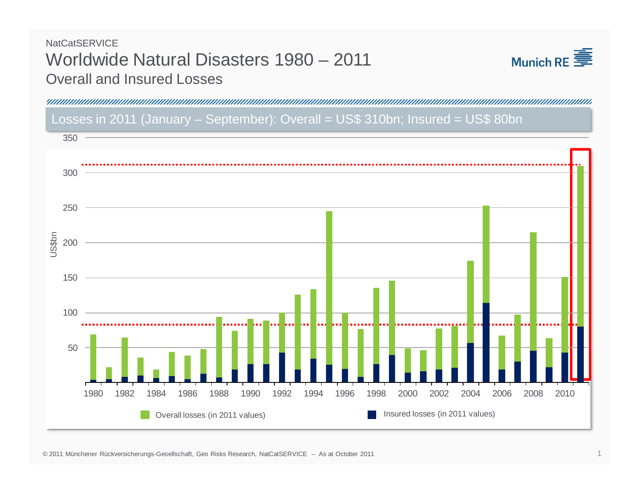## **NatCatSERVICE** Worldwide Natural Disasters 1980 – 2011 Overall and Insured Losses



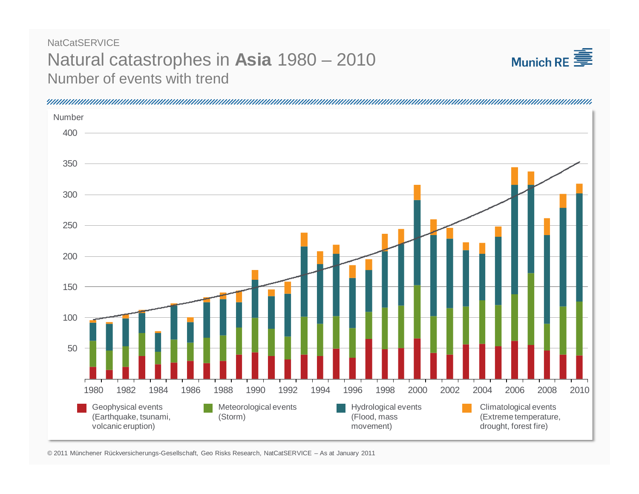## Natural catastrophes in **Asia** 1980 – 2010 Number of events with trend**NatCatSERVICE**





© 2011 Münchener Rückversicherungs-Gesellschaft, Geo Risks Research, NatCatSERVICE – As at January 2011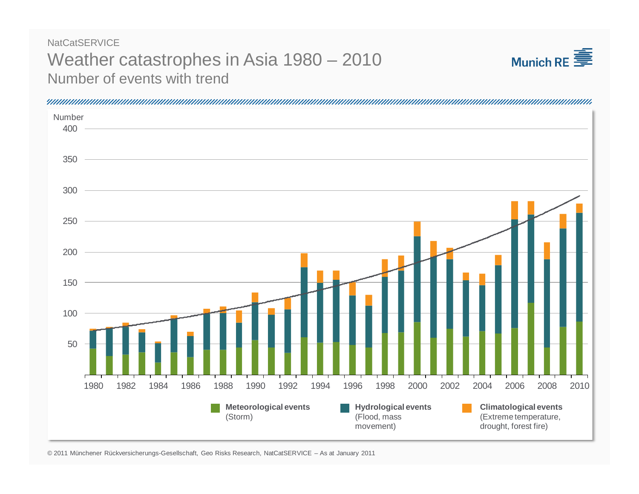## Weather catastrophes in Asia 1980 – 2010 Number of events with trend**NatCatSERVICE**





© 2011 Münchener Rückversicherungs-Gesellschaft, Geo Risks Research, NatCatSERVICE – As at January 2011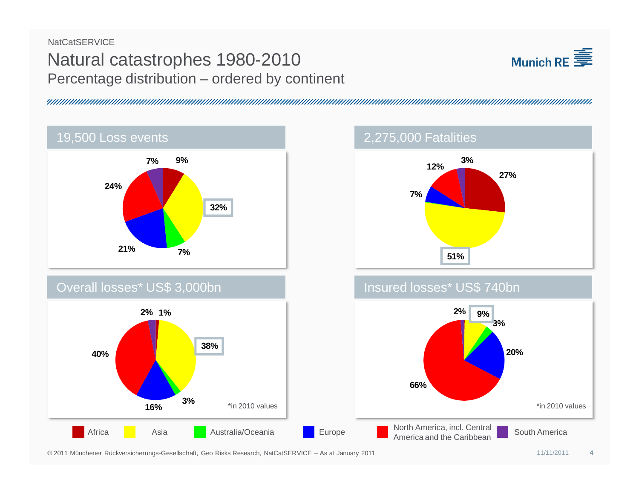## Natural catastrophes 1980-2010 Percentage distribution – ordered by continent **NatCatSERVICE**









© 2011 Münchener Rückversicherungs-Gesellschaft, Geo Risks Research, NatCatSERVICE – As at January 2011

**3%**

**16%**

**40%**